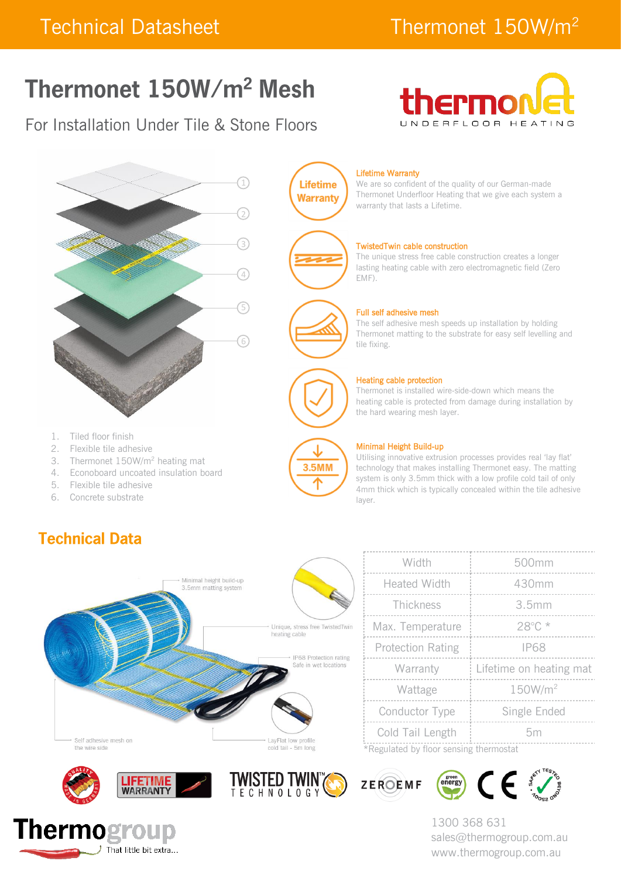# Thermonet 150W/m<sup>2</sup> Mesh

## For Installation Under Tile & Stone Floors





3.5MM

We are so confident of the quality of our German-made Thermonet Underfloor Heating that we give each system a warranty that lasts a Lifetime.

### TwistedTwin cable construction

The unique stress free cable construction creates a longer lasting heating cable with zero electromagnetic field (Zero

### Full self adhesive mesh

The self adhesive mesh speeds up installation by holding Thermonet matting to the substrate for easy self levelling and

#### Heating cable protection

Thermonet is installed wire-side-down which means the heating cable is protected from damage during installation by the hard wearing mesh layer.



#### Minimal Height Build-up

Utilising innovative extrusion processes provides real 'lay flat' technology that makes installing Thermonet easy. The matting system is only 3.5mm thick with a low profile cold tail of only 4mm thick which is typically concealed within the tile adhesive layer.



|                                        | Width                    | 500mm                   |  |  |  |
|----------------------------------------|--------------------------|-------------------------|--|--|--|
|                                        | <b>Heated Width</b>      | 430mm                   |  |  |  |
|                                        | Thickness                | 3.5mm                   |  |  |  |
|                                        | Max. Temperature         | 28°C*                   |  |  |  |
|                                        | <b>Protection Rating</b> | <b>IP68</b>             |  |  |  |
|                                        | Warranty                 | Lifetime on heating mat |  |  |  |
|                                        | Wattage                  | 150W/m <sup>2</sup>     |  |  |  |
|                                        | Conductor Type           | Single Ended            |  |  |  |
|                                        | Cold Tail Length         | 5m                      |  |  |  |
| *Regulated by floor sensing thermostat |                          |                         |  |  |  |

green<br>energy

ZEROEMF



3. Thermonet 150W/m<sup>2</sup> heating mat 4. Econoboard uncoated insulation board

5. Flexible tile adhesive 6. Concrete substrate

**Technical Data** 



1300 368 631 sales@thermogroup.com.au www.thermogroup.com.au

 $\mathsf{CE}$